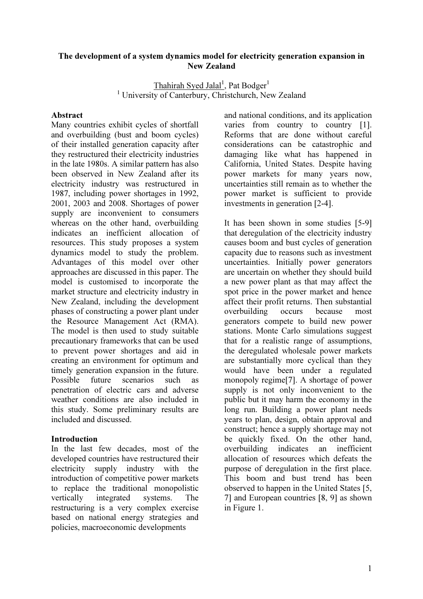### The development of a system dynamics model for electricity generation expansion in New Zealand

Thahirah Syed Jalal<sup>1</sup>, Pat Bodger<sup>1</sup> <sup>1</sup> University of Canterbury, Christchurch, New Zealand

#### Abstract

Many countries exhibit cycles of shortfall and overbuilding (bust and boom cycles) of their installed generation capacity after they restructured their electricity industries in the late 1980s. A similar pattern has also been observed in New Zealand after its electricity industry was restructured in 1987, including power shortages in 1992, 2001, 2003 and 2008. Shortages of power supply are inconvenient to consumers whereas on the other hand, overbuilding indicates an inefficient allocation of resources. This study proposes a system dynamics model to study the problem. Advantages of this model over other approaches are discussed in this paper. The model is customised to incorporate the market structure and electricity industry in New Zealand, including the development phases of constructing a power plant under the Resource Management Act (RMA). The model is then used to study suitable precautionary frameworks that can be used to prevent power shortages and aid in creating an environment for optimum and timely generation expansion in the future. Possible future scenarios such as penetration of electric cars and adverse weather conditions are also included in this study. Some preliminary results are included and discussed.

#### Introduction

In the last few decades, most of the developed countries have restructured their electricity supply industry with the introduction of competitive power markets to replace the traditional monopolistic vertically integrated systems. The restructuring is a very complex exercise based on national energy strategies and policies, macroeconomic developments

and national conditions, and its application varies from country to country [1]. Reforms that are done without careful considerations can be catastrophic and damaging like what has happened in California, United States. Despite having power markets for many years now, uncertainties still remain as to whether the power market is sufficient to provide investments in generation [2-4].

It has been shown in some studies [5-9] that deregulation of the electricity industry causes boom and bust cycles of generation capacity due to reasons such as investment uncertainties. Initially power generators are uncertain on whether they should build a new power plant as that may affect the spot price in the power market and hence affect their profit returns. Then substantial overbuilding occurs because most generators compete to build new power stations. Monte Carlo simulations suggest that for a realistic range of assumptions, the deregulated wholesale power markets are substantially more cyclical than they would have been under a regulated monopoly regime[7]. A shortage of power supply is not only inconvenient to the public but it may harm the economy in the long run. Building a power plant needs years to plan, design, obtain approval and construct; hence a supply shortage may not be quickly fixed. On the other hand, overbuilding indicates an inefficient allocation of resources which defeats the purpose of deregulation in the first place. This boom and bust trend has been observed to happen in the United States [5, 7] and European countries [8, 9] as shown in Figure 1.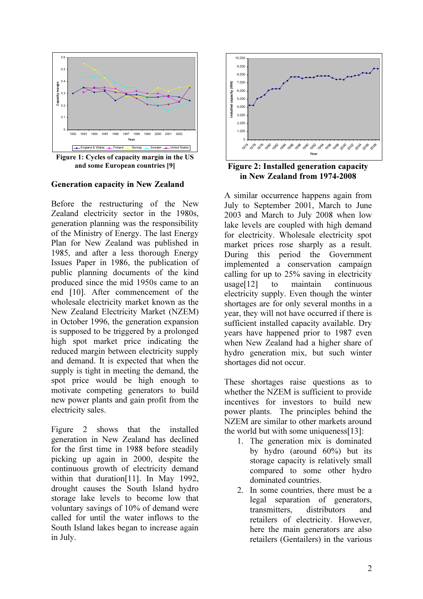

Figure 1: Cycles of capacity margin in the US and some European countries [9]

Generation capacity in New Zealand

Before the restructuring of the New Zealand electricity sector in the 1980s, generation planning was the responsibility of the Ministry of Energy. The last Energy Plan for New Zealand was published in 1985, and after a less thorough Energy Issues Paper in 1986, the publication of public planning documents of the kind produced since the mid 1950s came to an end [10]. After commencement of the wholesale electricity market known as the New Zealand Electricity Market (NZEM) in October 1996, the generation expansion is supposed to be triggered by a prolonged high spot market price indicating the reduced margin between electricity supply and demand. It is expected that when the supply is tight in meeting the demand, the spot price would be high enough to motivate competing generators to build new power plants and gain profit from the electricity sales.

Figure 2 shows that the installed generation in New Zealand has declined for the first time in 1988 before steadily picking up again in 2000, despite the continuous growth of electricity demand within that duration[11]. In May 1992, drought causes the South Island hydro storage lake levels to become low that voluntary savings of 10% of demand were called for until the water inflows to the South Island lakes began to increase again in July.



Figure 2: Installed generation capacity in New Zealand from 1974-2008

A similar occurrence happens again from July to September 2001, March to June 2003 and March to July 2008 when low lake levels are coupled with high demand for electricity. Wholesale electricity spot market prices rose sharply as a result. During this period the Government implemented a conservation campaign calling for up to 25% saving in electricity usage[12] to maintain continuous electricity supply. Even though the winter shortages are for only several months in a year, they will not have occurred if there is sufficient installed capacity available. Dry years have happened prior to 1987 even when New Zealand had a higher share of hydro generation mix, but such winter shortages did not occur.

These shortages raise questions as to whether the NZEM is sufficient to provide incentives for investors to build new power plants. The principles behind the NZEM are similar to other markets around the world but with some uniqueness[13]:

- 1. The generation mix is dominated by hydro (around 60%) but its storage capacity is relatively small compared to some other hydro dominated countries.
- 2. In some countries, there must be a legal separation of generators, transmitters, distributors and retailers of electricity. However, here the main generators are also retailers (Gentailers) in the various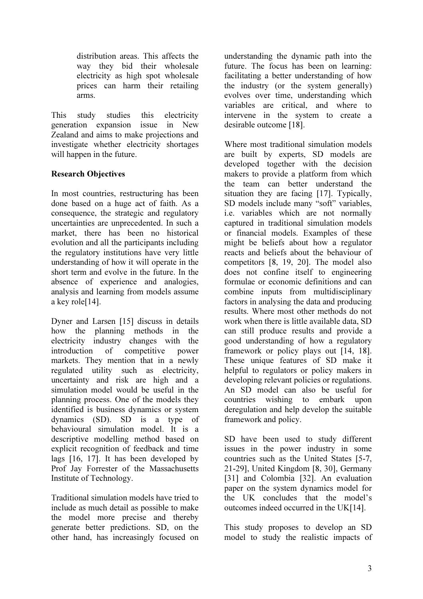distribution areas. This affects the way they bid their wholesale electricity as high spot wholesale prices can harm their retailing arms.

This study studies this electricity generation expansion issue in New Zealand and aims to make projections and investigate whether electricity shortages will happen in the future.

# Research Objectives

In most countries, restructuring has been done based on a huge act of faith. As a consequence, the strategic and regulatory uncertainties are unprecedented. In such a market, there has been no historical evolution and all the participants including the regulatory institutions have very little understanding of how it will operate in the short term and evolve in the future. In the absence of experience and analogies, analysis and learning from models assume a key role[14].

Dyner and Larsen [15] discuss in details how the planning methods in the electricity industry changes with the introduction of competitive power markets. They mention that in a newly regulated utility such as electricity, uncertainty and risk are high and a simulation model would be useful in the planning process. One of the models they identified is business dynamics or system dynamics (SD). SD is a type of behavioural simulation model. It is a descriptive modelling method based on explicit recognition of feedback and time lags [16, 17]. It has been developed by Prof Jay Forrester of the Massachusetts Institute of Technology.

Traditional simulation models have tried to include as much detail as possible to make the model more precise and thereby generate better predictions. SD, on the other hand, has increasingly focused on

understanding the dynamic path into the future. The focus has been on learning: facilitating a better understanding of how the industry (or the system generally) evolves over time, understanding which variables are critical, and where to intervene in the system to create a desirable outcome [18].

Where most traditional simulation models are built by experts, SD models are developed together with the decision makers to provide a platform from which the team can better understand the situation they are facing [17]. Typically, SD models include many "soft" variables, i.e. variables which are not normally captured in traditional simulation models or financial models. Examples of these might be beliefs about how a regulator reacts and beliefs about the behaviour of competitors [8, 19, 20]. The model also does not confine itself to engineering formulae or economic definitions and can combine inputs from multidisciplinary factors in analysing the data and producing results. Where most other methods do not work when there is little available data, SD can still produce results and provide a good understanding of how a regulatory framework or policy plays out [14, 18]. These unique features of SD make it helpful to regulators or policy makers in developing relevant policies or regulations. An SD model can also be useful for countries wishing to embark upon deregulation and help develop the suitable framework and policy.

SD have been used to study different issues in the power industry in some countries such as the United States [5-7, 21-29], United Kingdom [8, 30], Germany [31] and Colombia [32]. An evaluation paper on the system dynamics model for the UK concludes that the model's outcomes indeed occurred in the UK[14].

This study proposes to develop an SD model to study the realistic impacts of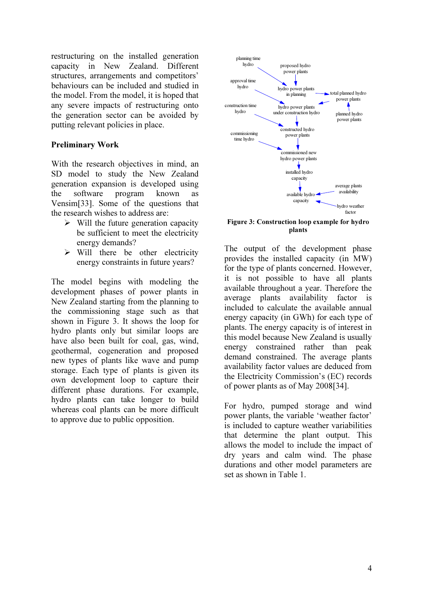restructuring on the installed generation capacity in New Zealand. Different structures, arrangements and competitors' behaviours can be included and studied in the model. From the model, it is hoped that any severe impacts of restructuring onto the generation sector can be avoided by putting relevant policies in place.

## Preliminary Work

With the research objectives in mind, an SD model to study the New Zealand generation expansion is developed using the software program known as Vensim[33]. Some of the questions that the research wishes to address are:

- $\triangleright$  Will the future generation capacity be sufficient to meet the electricity energy demands?
- $\triangleright$  Will there be other electricity energy constraints in future years?

The model begins with modeling the development phases of power plants in New Zealand starting from the planning to the commissioning stage such as that shown in Figure 3. It shows the loop for hydro plants only but similar loops are have also been built for coal, gas, wind, geothermal, cogeneration and proposed new types of plants like wave and pump storage. Each type of plants is given its own development loop to capture their different phase durations. For example, hydro plants can take longer to build whereas coal plants can be more difficult to approve due to public opposition.



Figure 3: Construction loop example for hydro plants

The output of the development phase provides the installed capacity (in MW) for the type of plants concerned. However, it is not possible to have all plants available throughout a year. Therefore the average plants availability factor is included to calculate the available annual energy capacity (in GWh) for each type of plants. The energy capacity is of interest in this model because New Zealand is usually energy constrained rather than peak demand constrained. The average plants availability factor values are deduced from the Electricity Commission's (EC) records of power plants as of May 2008[34].

For hydro, pumped storage and wind power plants, the variable 'weather factor' is included to capture weather variabilities that determine the plant output. This allows the model to include the impact of dry years and calm wind. The phase durations and other model parameters are set as shown in Table 1.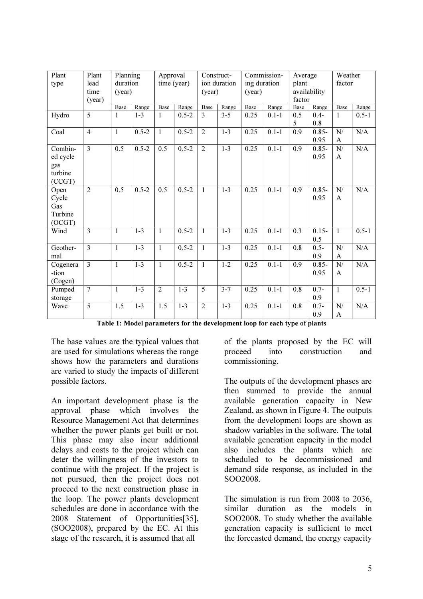| Plant<br>type                                   | Plant<br>lead<br>time<br>(year) | Planning<br>duration<br>(year) |                  | Approval<br>time (year) |           | Construct-<br>ion duration<br>(year) |         | Commission-<br>ing duration<br>(year) |           | Average<br>plant<br>availability<br>factor |                  | Weather<br>factor  |           |
|-------------------------------------------------|---------------------------------|--------------------------------|------------------|-------------------------|-----------|--------------------------------------|---------|---------------------------------------|-----------|--------------------------------------------|------------------|--------------------|-----------|
|                                                 |                                 | Base                           | Range            | Base                    | Range     | Base                                 | Range   | Base                                  | Range     | Base                                       | Range            | Base               | Range     |
| Hydro                                           | $\overline{5}$                  | $\mathbf{1}$                   | $1 - 3$          | 1                       | $0.5 - 2$ | $\overline{3}$                       | $3 - 5$ | 0.25                                  | $0.1 - 1$ | 0.5<br>5                                   | $0.4 -$<br>0.8   | $\mathbf{1}$       | $0.5 - 1$ |
| Coal                                            | $\overline{4}$                  | $\mathbf{1}$                   | $0.5 - 2$        | $\mathbf{1}$            | $0.5 - 2$ | $\overline{2}$                       | $1 - 3$ | 0.25                                  | $0.1 - 1$ | 0.9                                        | $0.85 -$<br>0.95 | N/<br>A            | N/A       |
| Combin-<br>ed cycle<br>gas<br>turbine<br>(CCGT) | $\overline{3}$                  | 0.5                            | $0.5 - 2$        | $\overline{0.5}$        | $0.5 - 2$ | $\overline{2}$                       | $1-3$   | 0.25                                  | $0.1 - 1$ | 0.9                                        | $0.85 -$<br>0.95 | N/<br>A            | N/A       |
| Open<br>Cycle<br>Gas<br>Turbine<br>(OCGT)       | $\overline{2}$                  | 0.5                            | $0.5 - 2$        | 0.5                     | $0.5 - 2$ | $\mathbf{1}$                         | $1 - 3$ | 0.25                                  | $0.1 - 1$ | 0.9                                        | $0.85 -$<br>0.95 | N/<br>A            | N/A       |
| Wind                                            | $\overline{3}$                  | $\mathbf{1}$                   | $1 - 3$          | $\mathbf{1}$            | $0.5 - 2$ | $\mathbf{1}$                         | $1 - 3$ | 0.25                                  | $0.1 - 1$ | 0.3                                        | $0.15 -$<br>0.5  | $\mathbf{1}$       | $0.5 - 1$ |
| Geother-<br>mal                                 | $\overline{3}$                  | $\mathbf{1}$                   | $\overline{1-3}$ | $\overline{1}$          | $0.5 - 2$ | $\mathbf{1}$                         | $1-3$   | 0.25                                  | $0.1 - 1$ | $\overline{0.8}$                           | $0.5 -$<br>0.9   | N/<br>A            | N/A       |
| Cogenera<br>-tion<br>(Cogen)                    | $\overline{3}$                  | $\mathbf{1}$                   | $1 - 3$          | $\mathbf{1}$            | $0.5 - 2$ | $\mathbf{1}$                         | $1 - 2$ | 0.25                                  | $0.1 - 1$ | 0.9                                        | $0.85 -$<br>0.95 | N/<br>A            | N/A       |
| Pumped<br>storage                               | $\overline{7}$                  | $\mathbf{1}$                   | $1 - 3$          | $\overline{2}$          | $1 - 3$   | $\overline{5}$                       | $3 - 7$ | 0.25                                  | $0.1 - 1$ | $\overline{0.8}$                           | $0.7 -$<br>0.9   | $\overline{1}$     | $0.5 - 1$ |
| Wave                                            | $\overline{5}$                  | 1.5                            | $1 - 3$          | 1.5                     | $1 - 3$   | $\overline{2}$                       | $1 - 3$ | 0.25                                  | $0.1 - 1$ | 0.8                                        | $0.7 -$<br>0.9   | N/<br>$\mathbf{A}$ | N/A       |

Table 1: Model parameters for the development loop for each type of plants

The base values are the typical values that are used for simulations whereas the range shows how the parameters and durations are varied to study the impacts of different possible factors.

An important development phase is the approval phase which involves the Resource Management Act that determines whether the power plants get built or not. This phase may also incur additional delays and costs to the project which can deter the willingness of the investors to continue with the project. If the project is not pursued, then the project does not proceed to the next construction phase in the loop. The power plants development schedules are done in accordance with the 2008 Statement of Opportunities[35], (SOO2008), prepared by the EC. At this stage of the research, it is assumed that all

of the plants proposed by the EC will proceed into construction and commissioning.

The outputs of the development phases are then summed to provide the annual available generation capacity in New Zealand, as shown in Figure 4. The outputs from the development loops are shown as shadow variables in the software. The total available generation capacity in the model also includes the plants which are scheduled to be decommissioned and demand side response, as included in the SOO2008.

The simulation is run from 2008 to 2036, similar duration as the models in SOO2008. To study whether the available generation capacity is sufficient to meet the forecasted demand, the energy capacity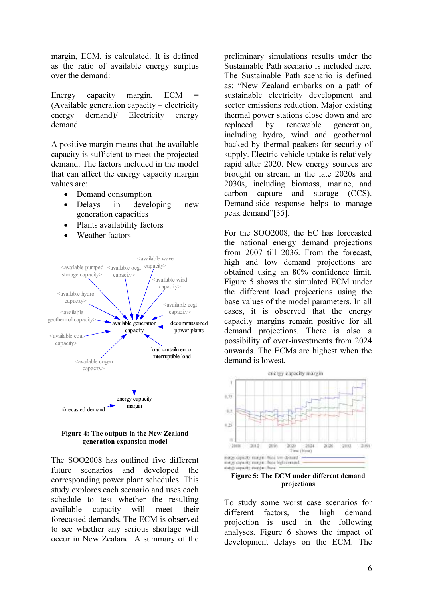margin, ECM, is calculated. It is defined as the ratio of available energy surplus over the demand:

Energy capacity margin, ECM = (Available generation capacity – electricity energy demand) Electricity energy demand

A positive margin means that the available capacity is sufficient to meet the projected demand. The factors included in the model that can affect the energy capacity margin values are:

- Demand consumption
- Delays in developing new generation capacities
- Plants availability factors
- Weather factors



Figure 4: The outputs in the New Zealand generation expansion model

The SOO2008 has outlined five different future scenarios and developed the corresponding power plant schedules. This study explores each scenario and uses each schedule to test whether the resulting available capacity will meet their forecasted demands. The ECM is observed to see whether any serious shortage will occur in New Zealand. A summary of the preliminary simulations results under the Sustainable Path scenario is included here. The Sustainable Path scenario is defined as: "New Zealand embarks on a path of sustainable electricity development and sector emissions reduction. Major existing thermal power stations close down and are replaced by renewable generation, including hydro, wind and geothermal backed by thermal peakers for security of supply. Electric vehicle uptake is relatively rapid after 2020. New energy sources are brought on stream in the late 2020s and 2030s, including biomass, marine, and carbon capture and storage (CCS). Demand-side response helps to manage peak demand"[35].

For the SOO2008, the EC has forecasted the national energy demand projections from 2007 till 2036. From the forecast, high and low demand projections are obtained using an 80% confidence limit. Figure 5 shows the simulated ECM under the different load projections using the base values of the model parameters. In all cases, it is observed that the energy capacity margins remain positive for all demand projections. There is also a possibility of over-investments from 2024 onwards. The ECMs are highest when the demand is lowest.



Figure 5: The ECM under different demand projections

To study some worst case scenarios for different factors, the high demand projection is used in the following analyses. Figure 6 shows the impact of development delays on the ECM. The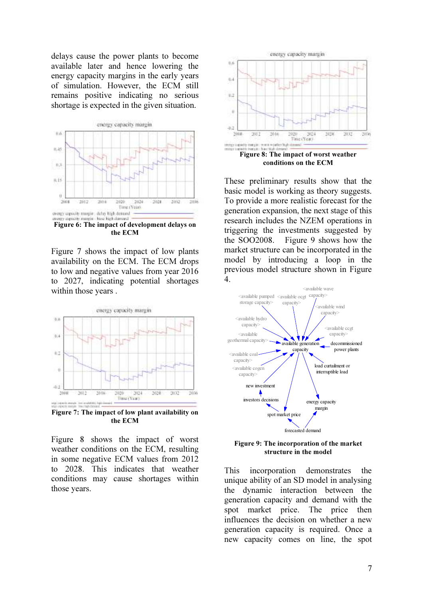delays cause the power plants to become available later and hence lowering the energy capacity margins in the early years of simulation. However, the ECM still remains positive indicating no serious shortage is expected in the given situation.



Figure 6: The impact of development delays on the ECM

Figure 7 shows the impact of low plants availability on the ECM. The ECM drops to low and negative values from year 2016 to 2027, indicating potential shortages within those years .



Figure 7: The impact of low plant availability on the ECM

Figure 8 shows the impact of worst weather conditions on the ECM, resulting in some negative ECM values from 2012 to 2028. This indicates that weather conditions may cause shortages within those years.



These preliminary results show that the basic model is working as theory suggests. To provide a more realistic forecast for the generation expansion, the next stage of this research includes the NZEM operations in triggering the investments suggested by the SOO2008. Figure 9 shows how the market structure can be incorporated in the model by introducing a loop in the previous model structure shown in Figure 4.



Figure 9: The incorporation of the market structure in the model

This incorporation demonstrates the unique ability of an SD model in analysing the dynamic interaction between the generation capacity and demand with the spot market price. The price then influences the decision on whether a new generation capacity is required. Once a new capacity comes on line, the spot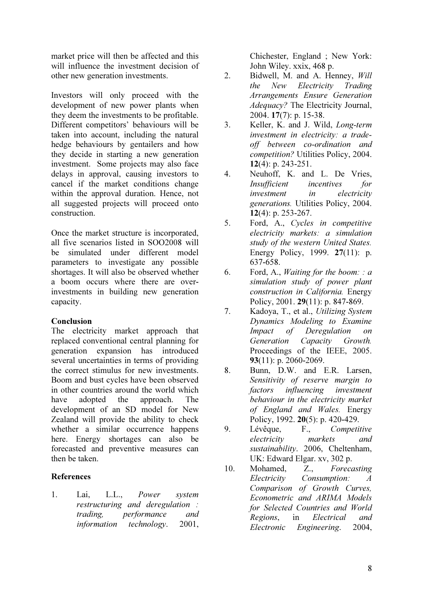market price will then be affected and this will influence the investment decision of other new generation investments.

Investors will only proceed with the development of new power plants when they deem the investments to be profitable. Different competitors' behaviours will be taken into account, including the natural hedge behaviours by gentailers and how they decide in starting a new generation investment. Some projects may also face delays in approval, causing investors to cancel if the market conditions change within the approval duration. Hence, not all suggested projects will proceed onto construction.

Once the market structure is incorporated, all five scenarios listed in SOO2008 will be simulated under different model parameters to investigate any possible shortages. It will also be observed whether a boom occurs where there are overinvestments in building new generation capacity.

## Conclusion

The electricity market approach that replaced conventional central planning for generation expansion has introduced several uncertainties in terms of providing the correct stimulus for new investments. Boom and bust cycles have been observed in other countries around the world which have adopted the approach. The development of an SD model for New Zealand will provide the ability to check whether a similar occurrence happens here. Energy shortages can also be forecasted and preventive measures can then be taken.

# References

1. Lai, L.L., Power system restructuring and deregulation : trading, performance and information technology. 2001,

Chichester, England ; New York: John Wiley. xxix, 468 p.

- 2. Bidwell, M. and A. Henney, Will the New Electricity Trading Arrangements Ensure Generation Adequacy? The Electricity Journal, 2004. 17(7): p. 15-38.
- 3. Keller, K. and J. Wild, Long-term investment in electricity: a tradeoff between co-ordination and competition? Utilities Policy, 2004. 12(4): p. 243-251.
- 4. Neuhoff, K. and L. De Vries, Insufficient incentives for investment in electricity generations. Utilities Policy, 2004. 12(4): p. 253-267.
- 5. Ford, A., Cycles in competitive electricity markets: a simulation study of the western United States. Energy Policy, 1999. 27(11): p. 637-658.
- 6. Ford, A., *Waiting for the boom:* :  $a$ simulation study of power plant construction in California. Energy Policy, 2001. 29(11): p. 847-869.
- 7. Kadoya, T., et al., Utilizing System Dynamics Modeling to Examine Impact of Deregulation on Generation Capacity Growth. Proceedings of the IEEE, 2005. 93(11): p. 2060-2069.
- 8. Bunn, D.W. and E.R. Larsen, Sensitivity of reserve margin to factors influencing investment behaviour in the electricity market of England and Wales. Energy Policy, 1992. 20(5): p. 420-429.
- 9. Lévêque, F., Competitive electricity markets and sustainability. 2006, Cheltenham, UK: Edward Elgar. xv, 302 p.
- 10. Mohamed, Z., Forecasting Electricity Consumption: A Comparison of Growth Curves, Econometric and ARIMA Models for Selected Countries and World Regions, in Electrical and Electronic Engineering. 2004,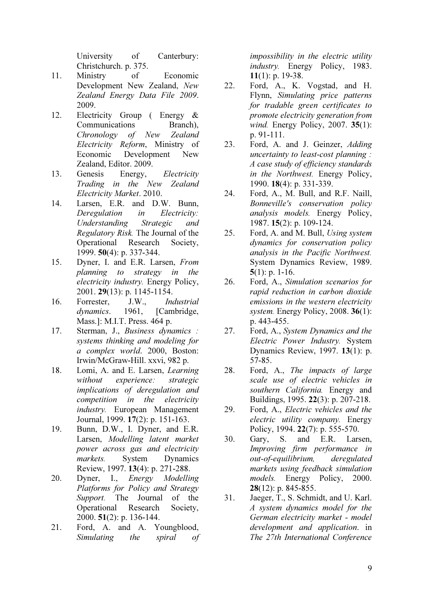University of Canterbury: Christchurch. p. 375.

- 11. Ministry of Economic Development New Zealand, New Zealand Energy Data File 2009. 2009.
- 12. Electricity Group ( Energy & Communications Branch), Chronology of New Zealand Electricity Reform, Ministry of Economic Development New Zealand, Editor. 2009.
- 13. Genesis Energy, Electricity Trading in the New Zealand Electricity Market. 2010.
- 14. Larsen, E.R. and D.W. Bunn, Deregulation in Electricity: Understanding Strategic and Regulatory Risk. The Journal of the Operational Research Society, 1999. 50(4): p. 337-344.
- 15. Dyner, I. and E.R. Larsen, From planning to strategy in the electricity industry. Energy Policy, 2001. 29(13): p. 1145-1154.
- 16. Forrester, J.W., Industrial dynamics. 1961. [Cambridge, Mass.]: M.I.T. Press. 464 p.
- 17. Sterman, J., Business dynamics : systems thinking and modeling for a complex world. 2000, Boston: Irwin/McGraw-Hill. xxvi, 982 p.
- 18. Lomi, A. and E. Larsen, Learning without experience: strategic implications of deregulation and competition in the electricity industry. European Management Journal, 1999. 17(2): p. 151-163.
- 19. Bunn, D.W., I. Dyner, and E.R. Larsen, Modelling latent market power across gas and electricity markets. System Dynamics Review, 1997. 13(4): p. 271-288.
- 20. Dyner, I., Energy Modelling Platforms for Policy and Strategy Support. The Journal of the Operational Research Society, 2000. 51(2): p. 136-144.
- 21. Ford, A. and A. Youngblood, Simulating the spiral of

impossibility in the electric utility industry. Energy Policy, 1983. 11(1): p. 19-38.

- 22. Ford, A., K. Vogstad, and H. Flynn, Simulating price patterns for tradable green certificates to promote electricity generation from wind. Energy Policy, 2007. **35**(1): p. 91-111.
- 23. Ford, A. and J. Geinzer, Adding uncertainty to least-cost planning : A case study of efficiency standards in the Northwest. Energy Policy, 1990. 18(4): p. 331-339.
- 24. Ford, A., M. Bull, and R.F. Naill, Bonneville's conservation policy analysis models. Energy Policy, 1987. 15(2): p. 109-124.
- 25. Ford, A. and M. Bull, Using system dynamics for conservation policy analysis in the Pacific Northwest. System Dynamics Review, 1989.  $5(1)$ : p. 1-16.
- 26. Ford, A., Simulation scenarios for rapid reduction in carbon dioxide emissions in the western electricity system. Energy Policy, 2008. 36(1): p. 443-455.
- 27. Ford, A., System Dynamics and the Electric Power Industry. System Dynamics Review, 1997. 13(1): p. 57-85.
- 28. Ford, A., The impacts of large scale use of electric vehicles in southern California. Energy and Buildings, 1995. 22(3): p. 207-218.
- 29. Ford, A., Electric vehicles and the electric utility company. Energy Policy, 1994. 22(7): p. 555-570.
- 30. Gary, S. and E.R. Larsen, Improving firm performance in out-of-equilibrium, deregulated markets using feedback simulation models. Energy Policy, 2000.  $28(12)$ : p. 845-855.
- 31. Jaeger, T., S. Schmidt, and U. Karl. A system dynamics model for the German electricity market - model development and application. in The 27th International Conference